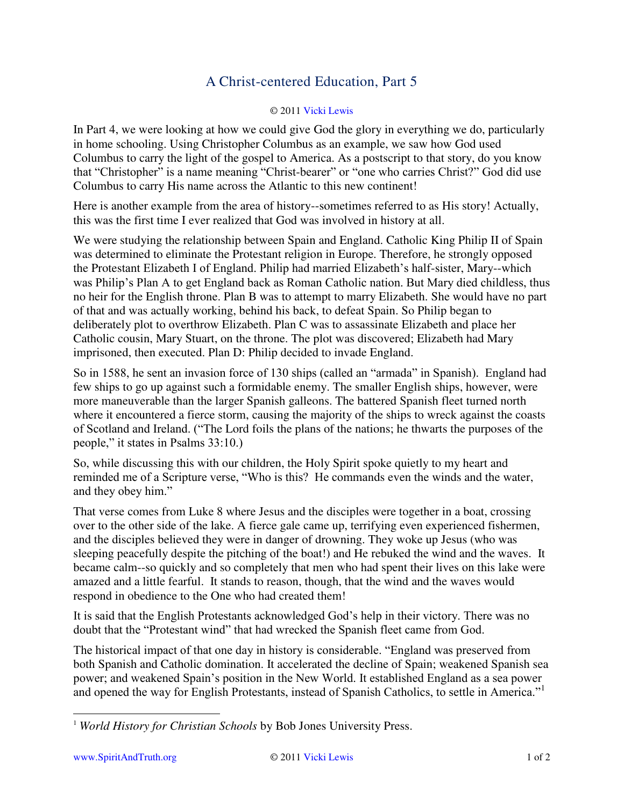## A Christ-centered Education, Part 5

## © 201[1 Vicki Lewis](http://www.spiritandtruth.org/id/vl.htm)

In Part 4, we were looking at how we could give God the glory in everything we do, particularly in home schooling. Using Christopher Columbus as an example, we saw how God used Columbus to carry the light of the gospel to America. As a postscript to that story, do you know that "Christopher" is a name meaning "Christ-bearer" or "one who carries Christ?" God did use Columbus to carry His name across the Atlantic to this new continent!

Here is another example from the area of history--sometimes referred to as His story! Actually, this was the first time I ever realized that God was involved in history at all.

We were studying the relationship between Spain and England. Catholic King Philip II of Spain was determined to eliminate the Protestant religion in Europe. Therefore, he strongly opposed the Protestant Elizabeth I of England. Philip had married Elizabeth's half-sister, Mary--which was Philip's Plan A to get England back as Roman Catholic nation. But Mary died childless, thus no heir for the English throne. Plan B was to attempt to marry Elizabeth. She would have no part of that and was actually working, behind his back, to defeat Spain. So Philip began to deliberately plot to overthrow Elizabeth. Plan C was to assassinate Elizabeth and place her Catholic cousin, Mary Stuart, on the throne. The plot was discovered; Elizabeth had Mary imprisoned, then executed. Plan D: Philip decided to invade England.

So in 1588, he sent an invasion force of 130 ships (called an "armada" in Spanish). England had few ships to go up against such a formidable enemy. The smaller English ships, however, were more maneuverable than the larger Spanish galleons. The battered Spanish fleet turned north where it encountered a fierce storm, causing the majority of the ships to wreck against the coasts of Scotland and Ireland. ("The Lord foils the plans of the nations; he thwarts the purposes of the people," it states in Psalms 33:10.)

So, while discussing this with our children, the Holy Spirit spoke quietly to my heart and reminded me of a Scripture verse, "Who is this? He commands even the winds and the water, and they obey him."

That verse comes from Luke 8 where Jesus and the disciples were together in a boat, crossing over to the other side of the lake. A fierce gale came up, terrifying even experienced fishermen, and the disciples believed they were in danger of drowning. They woke up Jesus (who was sleeping peacefully despite the pitching of the boat!) and He rebuked the wind and the waves. It became calm--so quickly and so completely that men who had spent their lives on this lake were amazed and a little fearful. It stands to reason, though, that the wind and the waves would respond in obedience to the One who had created them!

It is said that the English Protestants acknowledged God's help in their victory. There was no doubt that the "Protestant wind" that had wrecked the Spanish fleet came from God.

The historical impact of that one day in history is considerable. "England was preserved from both Spanish and Catholic domination. It accelerated the decline of Spain; weakened Spanish sea power; and weakened Spain's position in the New World. It established England as a sea power and opened the way for English Protestants, instead of Spanish Catholics, to settle in America."<sup>1</sup>

 $\overline{a}$ 

<sup>1</sup> *World History for Christian Schools* by Bob Jones University Press.